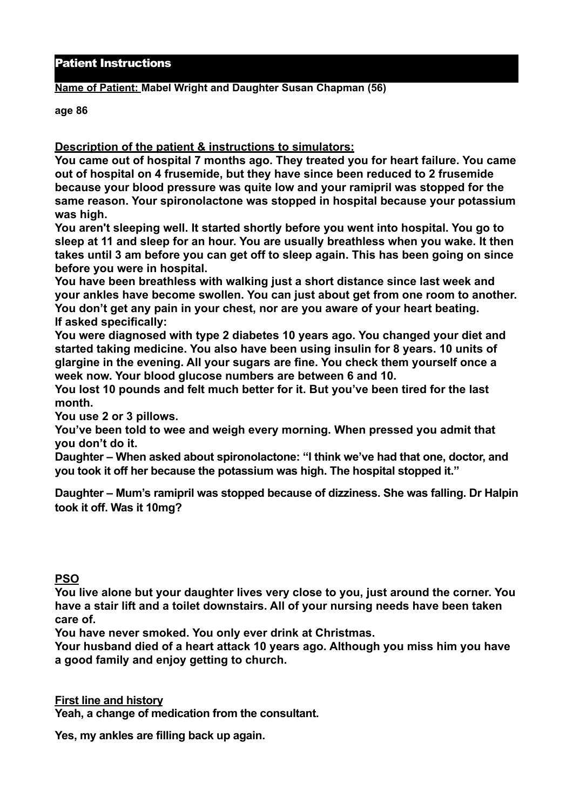## Patient Instructions

## **Name of Patient: Mabel Wright and Daughter Susan Chapman (56)**

**age 86** 

**Description of the patient & instructions to simulators:** 

**You came out of hospital 7 months ago. They treated you for heart failure. You came out of hospital on 4 frusemide, but they have since been reduced to 2 frusemide because your blood pressure was quite low and your ramipril was stopped for the same reason. Your spironolactone was stopped in hospital because your potassium was high.** 

**You aren't sleeping well. It started shortly before you went into hospital. You go to sleep at 11 and sleep for an hour. You are usually breathless when you wake. It then takes until 3 am before you can get off to sleep again. This has been going on since before you were in hospital.** 

**You have been breathless with walking just a short distance since last week and your ankles have become swollen. You can just about get from one room to another. You don't get any pain in your chest, nor are you aware of your heart beating. If asked specifically:** 

**You were diagnosed with type 2 diabetes 10 years ago. You changed your diet and started taking medicine. You also have been using insulin for 8 years. 10 units of glargine in the evening. All your sugars are fine. You check them yourself once a week now. Your blood glucose numbers are between 6 and 10.** 

**You lost 10 pounds and felt much better for it. But you've been tired for the last month.** 

**You use 2 or 3 pillows.** 

**You've been told to wee and weigh every morning. When pressed you admit that you don't do it.** 

**Daughter – When asked about spironolactone: "I think we've had that one, doctor, and you took it off her because the potassium was high. The hospital stopped it."** 

**Daughter – Mum's ramipril was stopped because of dizziness. She was falling. Dr Halpin took it off. Was it 10mg?** 

## **PSO**

**You live alone but your daughter lives very close to you, just around the corner. You have a stair lift and a toilet downstairs. All of your nursing needs have been taken care of.** 

**You have never smoked. You only ever drink at Christmas.** 

**Your husband died of a heart attack 10 years ago. Although you miss him you have a good family and enjoy getting to church.**

**First line and history** 

**Yeah, a change of medication from the consultant.** 

**Yes, my ankles are filling back up again.**